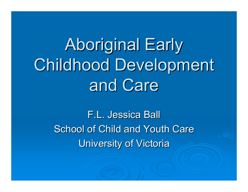Aboriginal Early Childhood Development and Care

> **F.L. Jessica Ball** School of Child and Youth Care **University of Victoria**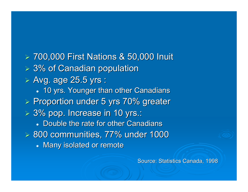¾ 700,000 First Nations & 50,000 Inuit 700,000 First Nations & 50,000 Inuit  $> 3\%$  of Canadian population  $\triangleright$  Avg. age 25.5 yrs :  $\bullet~$  10 yrs. Younger than other Canadians  $\triangleright$  Proportion under 5 yrs 70% greater  $> 3\%$  pop. Increase in 10 yrs.: • Double the rate for other Canadians  $> 800$  communities, 77% under 1000 • Many isolated or remote

Source: Statistics Canada, 1998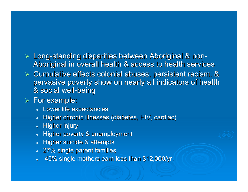#### > Long-standing disparities between Aboriginal & non-Aboriginal in overall health & access to health services

 $\triangleright$  Cumulative effects colonial abuses, persistent racism, & pervasive poverty show on nearly all indicators of health & social well-being

#### $\triangleright$  For example:

- Lower life expectancies
- $\bullet~$  Higher chronic illnesses (diabetes, HIV, cardiac)
- $\bullet$  Higher injury
- Higher poverty & unemployment
- $\bullet$  Higher suicide & attempts
- $\bullet~$  27% single parent families
- $\bullet$ 40% single mothers earn less than \$12,000/yr. 40% single mothers earn less than \$12,000/yr.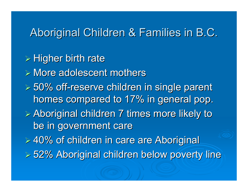### Aboriginal Children & Families in B.C.

 $\triangleright$  Higher birth rate  $\triangleright$  More adolescent mothers  $\geqslant 50\%$  off-reserve children in single parent homes compared to 17% in general pop.  $\triangleright$  Aboriginal children 7 times more likely to be in government care ¾ 40% of children in care are Aboriginal 40% of children in care are Aboriginal ¾ 52% Aboriginal children below poverty line 52% Aboriginal children below poverty line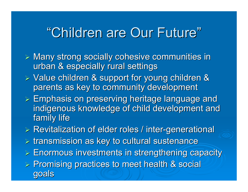# "Children are Our Future"

- $\triangleright$  Many strong socially cohesive communities in urban & especially rural settings
- $\triangleright$  Value children & support for young children & parents as key to community development
- $\triangleright$  Emphasis on preserving heritage language and indigenous knowledge of child development and family life
- $\triangleright$  Revitalization of elder roles / inter-generational
- $\triangleright$  transmission as key to cultural sustenance
- $\triangleright$  Enormous investments in strengthening capacity
- ¾ Promising practices to meet health & social Promising practices to meet health & social goals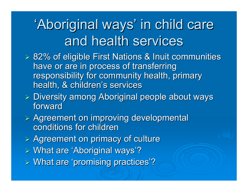# 'Aboriginal ways' in child care and health services

- **≽ 82% of eligible First Nations & Inuit communities** have or are in process of transferring responsibility for community health, primary health, & children's services
- ► Diversity among Aboriginal people about ways forward
- $\triangleright$  Agreement on improving developmental conditions for children
- $\triangleright$  Agreement on primacy of culture
- > What are 'Aboriginal ways'?
- ¾ What are 'promising practices'? What are 'promising practices'?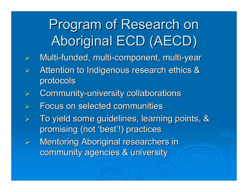# Program of Research on Program of Research on Aboriginal ECD (AECD)

- $\blacktriangleright$ > Multi-funded, multi-component, multi-year
- ¾ Attention to Indigenous research ethics & Attention to Indigenous research ethics & protocols protocols
- ¾> Community-university collaborations
- ¾Focus on selected communities Focus on selected communities
- $\blacktriangleright$ To yield some guidelines, learning points, & promising (not 'best'!) practices
- ¾**Mentoring Aboriginal researchers in** community agencies & university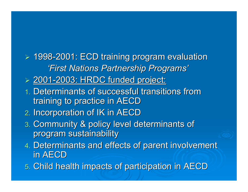¾ 1998-2001: ECD training program evaluation 2001: ECD training program evaluation *'First Nations Partnership Programs' 'First Nations Partnership Programs'*

- ¾ 2001-2003: HRDC funded project: 2003: HRDC funded project:
- 1. Determinants of successful transitions from training to practice in AECD training to practice in AECD
- 2. Incorporation of IK in AECD
- 3. Community & policy level determinants of program sustainability
- 4. Determinants and effects of parent involvement in  $\mathsf{AECD}$
- 5. Child health impacts of participation in AECD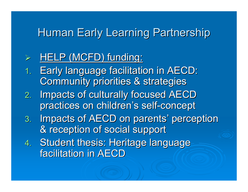## Human Early Learning Partnership

#### ¾HELP (MCFD) funding:

- 1.**Early language facilitation in AECD:** Community priorities & strategies
- 2.Impacts of culturally focused AECD practices on children's self-concept
- 3. Impacts of AECD on parents' perception & reception of social support
- 4.Student thesis: Heritage language facilitation in AECD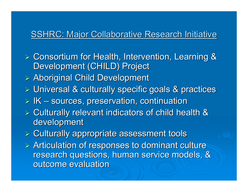#### **SSHRC: Major Collaborative Research Initiative**

- **≽ Consortium for Health, Intervention, Learning &** Development (CHILD) Project
- ¾ Aboriginal Child Development Aboriginal Child Development
- $\triangleright$  Universal & culturally specific goals & practices
- $>$  IK  $\cdot$  $-$  sources, preservation, continuation
- $\triangleright$  Culturally relevant indicators of child health & development
- $\triangleright$  Culturally appropriate assessment tools
- $\triangleright$  Articulation of responses to dominant culture research questions, human service models, & outcome evaluation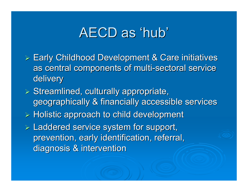## AECD as 'hub'

- ► Early Childhood Development & Care initiatives as central components of multi-sectoral service delivery
- $\triangleright$  Streamlined, culturally appropriate, geographically & financially accessible services
- $\triangleright$  Holistic approach to child development
- $\triangleright$  Laddered service system for support, prevention, early identification, referral, diagnosis & intervention